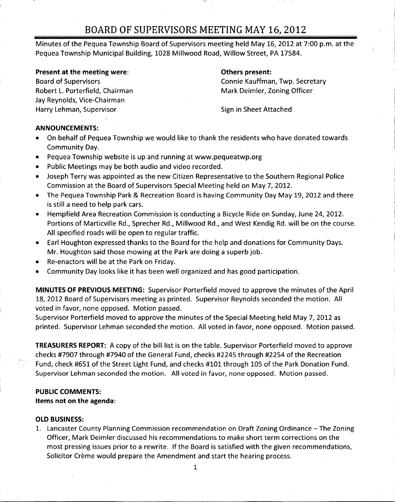Minutes of the Pequea Township Board of Supervisors meeting held May 16, 2012 at 7:00 p.m. at the Pequea Township Municipal Building, 1028 Millwood Road, Willow Street, PA 17584.

#### Present at the meeting were: The meeting were in the meeting were sent and the system of the Delta Summer of Delta Summer and Delta Summer and Delta Summer and Delta Summer and Delta Summer and Delta Summer and Delta Summe

Robert L. Porterfield, Chairman Mark Deimler, Zoning Officer Jay Reynolds, Vice-Chairman Harry Lehman, Supervisor Sign in Sheet Attached

Board of Supervisors Connie Kauffman, Twp. Secretary

#### ANNOUNCEMENTS:

- On behalf of Pequea Township we would like to thank the residents who have donated towards Community Day. **NOUNCEMENTS:**<br>On behalf of Pequea Township we would like to thank the residents v<br>Community Day.<br>Pequea Township website is up and running at www.pequeatwp.org<br>Public Meetings may be both audio and video recorded.
- $\bullet$
- Public Meetings may be both audio and video recorded.  $\bullet$
- Joseph Terry was appointed as the new Citizen Representative to the Southern Regional Police  $\bullet$ Commission at the Board of Supervisors Special Meeting held on May 7, 2012.
- The Pequea Township Park & Recreation Board is having Community Day May 19, 2012 and there  $\bullet$ is still <sup>a</sup> need to help park cars.
- Hempfield Area Recreation Commission is conducting <sup>a</sup> Bicycle Ride on Sunday, June 24, 2012.  $\bullet$ Portions of Marticville Rd., Sprecher Rd., Millwood Rd., and West Kendig Rd. will be on the course. All specified roads will be open to regular traffic.
- Earl Houghton expressed thanks to the Board for the help and donations for Community Days. Mr. Houghton said those mowing at the Park are doing <sup>a</sup> superb job.
- Re-enactors will be at the Park on Friday.
- Community Day looks like it has been well organized and has good participation.

MINUTES OF PREVIOUS MEETING: Supervisor Porterfield moved to approve the minutes of the April 18, 2012 Board of Supervisors meeting as printed. Supervisor Reynolds seconded the motion. All voted in favor, none opposed. Motion passed.

Supervisor Porterfield moved to approve the minutes of the Special Meeting held May 7, 2012 as printed. Supervisor Lehman seconded the motion. All voted in favor, none opposed. Motion passed.

TREASURERS REPORT: A copy of the bill list is on the table. Supervisor Porterfield moved to approve checks #7907 through #7940 of the General Fund, checks #2245 through #2254 of the Recreation Fund, check #651 of the Street Light Fund, and checks #101 through <sup>105</sup> of the Park Donation Fund. Supervisor Lehman seconded the motion. All voted in favor, none opposed. Motion passed.

#### PUBLIC COMMENTS:

Items not on the agenda:

### OLD BUSINESS:

1. Lancaster County Planning Commission recommendation on Draft Zoning Ordinance —The Zoning Officer, Mark Deimler discussed his recommendations to make short term corrections on the most pressing issues prior to <sup>a</sup> rewrite. If the Board is satisfied with the given recommendations, Solicitor Crème would prepare the Amendment and start the hearing process.

1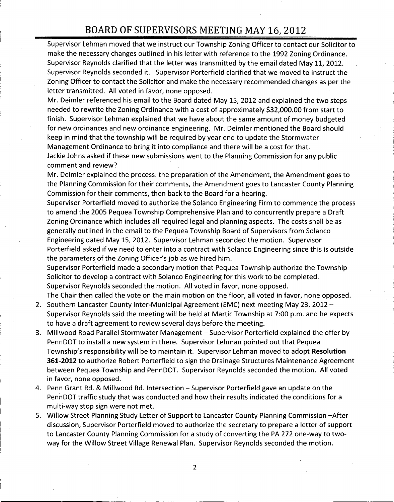Supervisor Lehman moved that we instruct our Township Zoning Officer to contact our Solicitor to make the necessary changes outlined in his letter with reference to the 1992 Zoning Ordinance. Supervisor Reynolds clarified that the letter was transmitted by the email dated May 11, 2012. Supervisor Reynolds seconded it. Supervisor Porterfield clarified that we moved to instruct the Zoning Officer to contact the Solicitor and make the necessary recommended changes as per the letter transmitted. All voted in favor, none opposed.

Mr. Deimler referenced his email to the Board dated May 15, 2012 and explained the two steps letter transmitted. All voted in favor, none opposed.<br>Mr. Deimler referenced his email to the Board dated May 15, 2012 and explained the two step<br>needed to rewrite the Zoning Ordinance with a cost of approximately \$32,000 finish. Supervisor Lehman explained that we have about the same amount of money budgeted for new ordinances and new ordinance engineering. Mr. Deimler mentioned the Board should keep in mind that the township will be required by year end to update the Stormwater Management Ordinance to bring it into compliance and there will be <sup>a</sup> cost for that. Jackie Johns asked if these new submissions went to the Planning Commission for any public comment and review?

Mr. Deimler explained the process: the preparation of the Amendment, the Amendment goes to the Planning Commission for their comments, the Amendment goes to Lancaster County Planning Commission for their comments, then back to the Board for <sup>a</sup> hearing.

Supervisor Porterfield moved to authorize the Solanco Engineering Firm to commence the process to amend the 2005 Pequea Township Comprehensive Plan and to concurrently prepare <sup>a</sup> Draft Zoning Ordinance which includes all required legal and planning aspects. The costs shall be as generally outlined in the email to the Pequea Township Board of Supervisors from Solanco Engineering dated May 15, 2012. Supervisor Lehman seconded the motion. Supervisor Porterfield asked if we need to enter into <sup>a</sup> contract with Solanco Engineering since this is outside Engineering dated may 15) 2012: Supervisor Emman Second<br>Porterfield asked if we need to enter into a contract with Sc<br>the parameters of the Zoning Officer's job as we hired him.

Supervisor Porterfield made <sup>a</sup> secondary motion that Pequea Township authorize the Township Solicitor to develop <sup>a</sup> contract with Solanco Engineering for this work to be completed. Supervisor Reynolds seconded the motion. All voted in favor, none opposed. The Chair then called the vote on the main motion on the floor, all voted in favor, none opposed.

- 2. Southern Lancaster County Inter-Municipal Agreement (EMC) next meeting May 23, 2012 -Supervisor Reynolds said the meeting will be held at Martic Township at 7:00 p.m. and he expects to have <sup>a</sup> draft agreement to review several days before the meeting.
- 3. Millwood Road Parallel Stormwater Management Supervisor Porterfield explained the offer by<br>PennDOT to install a new system in there. Supervisor Lehman pointed out that Pequea<br>Township's responsibility will be to maint PennDOT to install <sup>a</sup> new system in there. Supervisor Lehman pointed out that Pequea 361-2012 to authorize Robert Porterfield to sign the Drainage Structures Maintenance Agreement between Pequea Township and PennDOT. Supervisor Reynolds seconded the motion. All voted in favor, none opposed.
- 4. Penn Grant Rd. & Millwood Rd. Intersection Supervisor Porterfield gave an update on the PennDOT traffic study that was conducted and how their results indicated the conditions for <sup>a</sup> multi-way stop sign were not met.
- 5. Willow Street Planning Study Letter of Support to Lancaster County Planning Commission —After discussion, Supervisor Porterfield moved to authorize the secretary to prepare <sup>a</sup> letter of support to Lancaster County Planning Commission for a study of converting the PA 272 one-way to twoway for the Willow Street Village Renewal Plan. Supervisor Reynolds seconded the motion.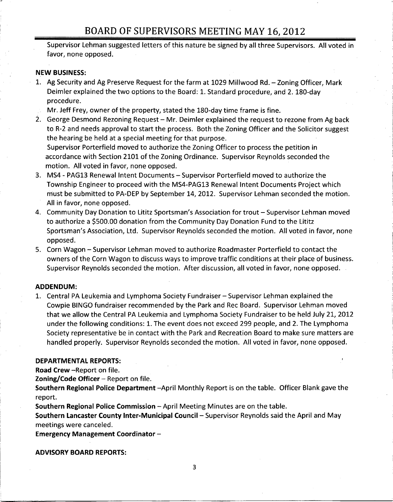Supervisor Lehman suggested letters of this nature be signed by all three Supervisors. All voted in favor, none opposed.

### NEW BUSINESS:

- 1. Ag Security and Ag Preserve Request for the farm at <sup>1029</sup> Millwood Rd. Zoning Officer, Mark Deimler explained the two options to the Board: 1. Standard procedure, and 2. 180 -day procedure.
	- Mr. Jeff Frey, owner of the property, stated the 180 -day time frame is fine.
- 2. George Desmond Rezoning Request Mr. Deimler explained the request to rezone from Ag back to R-2 and needs approval to start the process. Both the Zoning Officer and the Solicitor suggest the hearing be held at <sup>a</sup> special meeting for that purpose. Supervisor Porterfield moved to authorize the Zoning Officer to process the petition in

accordance with Section 2101 of the Zoning Ordinance. Supervisor Reynolds seconded the motion. All voted in favor, none opposed.

- 3. MS4 PAG13 Renewal Intent Documents Supervisor Porterfield moved to authorize the Township Engineer to proceed with the MS4 -PAG13 Renewal Intent Documents Project which must be submitted to PA -DEP by September 14, 2012. Supervisor Lehman seconded the motion. All in favor, none opposed. Frame Proceed with the MS4-F<br>must be submitted to PA-DEP by September 14<br>All in favor, none opposed.<br>4. Community Day Donation to Lititz Sportsman's<br>to authorize a \$500.00 donation from the Com
- 4. Community Day Donation to Lititz Sportsman's Association for trout Supervisor Lehman moved to authorize a \$500.00 donation from the Community Day Donation Fund to the Lititz Sportsman's Association, Ltd. Supervisor Reynolds seconded the motion. All voted in favor, none opposed.
- 5. Corn Wagon Supervisor Lehman moved to authorize Roadmaster Porterfield to contact the owners of the Corn Wagon to discuss ways to improve traffic conditions at their place of business. Supervisor Reynolds seconded the motion. After discussion, all voted in favor, none opposed.

### ADDENDUM:

1. Central PA Leukemia and Lymphoma Society Fundraiser — Supervisor Lehman explained the Cowpie BINGO fundraiser recommended by the Park and Rec Board. Supervisor Lehman moved that we allow the Central PA Leukemia and Lymphoma Society Fundraiser to be held July 21, 2012 under the following conditions: 1. The event does not exceed 299 people, and 2. The Lymphoma Society representative be in contact with the Park and Recreation Board to make sure matters are handled properly. Supervisor Reynolds seconded the motion. All voted in favor, none opposed.

### DEPARTMENTAL REPORTS:

Road Crew - Report on file.

Zoning/Code Officer  $-$  Report on file.

Southern Regional Police Department —April Monthly Report is on the table. Officer Blank gave the report.

Southern Regional Police Commission — April Meeting Minutes are on the table.

Southern Lancaster County Inter-Municipal Council - Supervisor Reynolds said the April and May meetings were canceled.

Emergency Management Coordinator —

ADVISORY BOARD REPORTS:

3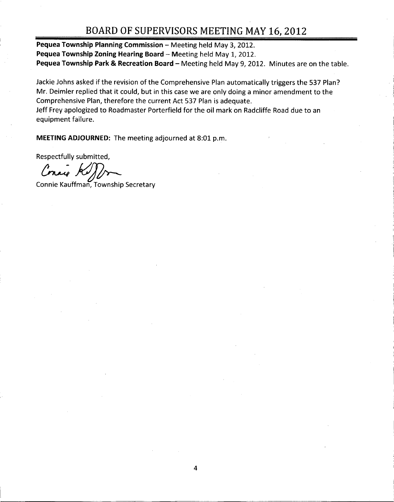Pequea Township Planning Commission — Meeting held May 3, 2012. Pequea Township Zoning Hearing Board — Meeting held May 1, 2012. Pequea Township Park & Recreation Board - Meeting held May 9, 2012. Minutes are on the table.

Jackie Johns asked if the revision of the Comprehensive Plan automatically triggers the 537 Plan? Mr. Deimler replied that it could, but in this case we are only doing <sup>a</sup> minor amendment to the Comprehensive Plan, therefore the current Act 537 Plan is adequate. Jeff Frey apologized to Roadmaster Porterfield for the oil mark on Radcliffe Road due to an equipment failure.

MEETING ADJOURNED: The meeting adjourned at 8:01 p.m.

Respectfully submitted,

Consider A

Connie Kauffman, Township Secretary